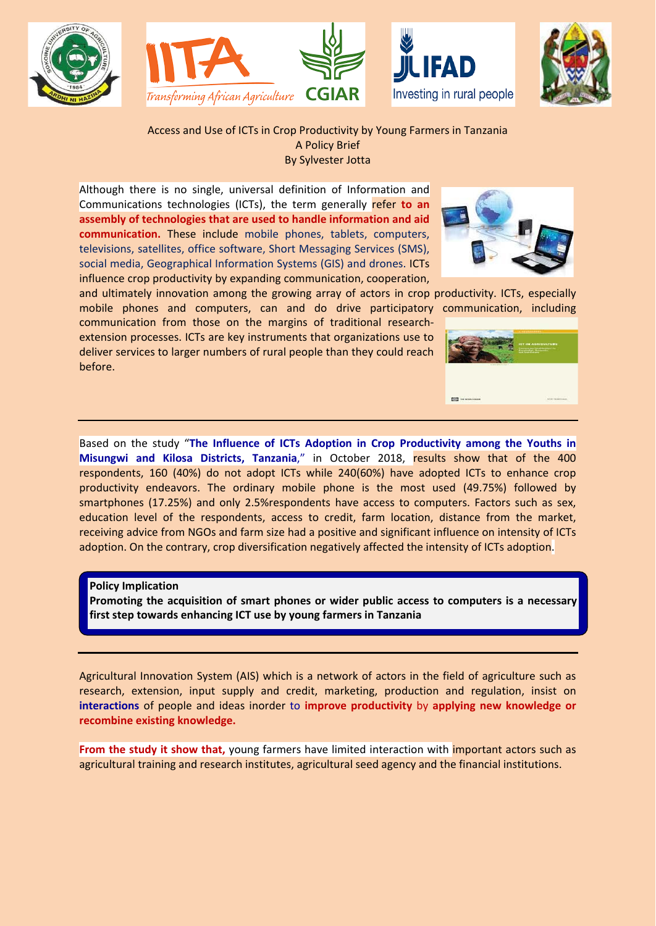







Access and Use of ICTs in Crop Productivity by Young Farmers in Tanzania A Policy Brief By Sylvester Jotta

Although there is no single, universal definition of Information and Communications technologies (ICTs), the term generally refer **to an assembly of technologies that are used to handle information and aid communication.** These include mobile phones, tablets, computers, televisions, satellites, office software, Short Messaging Services (SMS), social media, Geographical Information Systems (GIS) and drones. ICTs influence crop productivity by expanding communication, cooperation,



and ultimately innovation among the growing array of actors in crop productivity. ICTs, especially mobile phones and computers, can and do drive participatory communication, including

communication from those on the margins of traditional researchextension processes. ICTs are key instruments that organizations use to deliver services to larger numbers of rural people than they could reach before.

Based on the study "**The Influence of ICTs Adoption in Crop Productivity among the Youths in Misungwi and Kilosa Districts, Tanzania**," in October 2018, results show that of the 400 respondents, 160 (40%) do not adopt ICTs while 240(60%) have adopted ICTs to enhance crop productivity endeavors. The ordinary mobile phone is the most used (49.75%) followed by smartphones (17.25%) and only 2.5%respondents have access to computers. Factors such as sex, education level of the respondents, access to credit, farm location, distance from the market, receiving advice from NGOs and farm size had a positive and significant influence on intensity of ICTs adoption. On the contrary, crop diversification negatively affected the intensity of ICTs adoption.

**Policy Implication**

**Promoting the acquisition of smart phones or wider public access to computers is a necessary first step towards enhancing ICT use by young farmers in Tanzania**

Agricultural Innovation System (AIS) which is a network of actors in the field of agriculture such as research, extension, input supply and credit, marketing, production and regulation, insist on **interactions** of people and ideas inorder to **improve productivity** by **applying new knowledge or recombine existing knowledge.**

**From the study it show that,** young farmers have limited interaction with *important actors such as* agricultural training and research institutes, agricultural seed agency and the financial institutions.